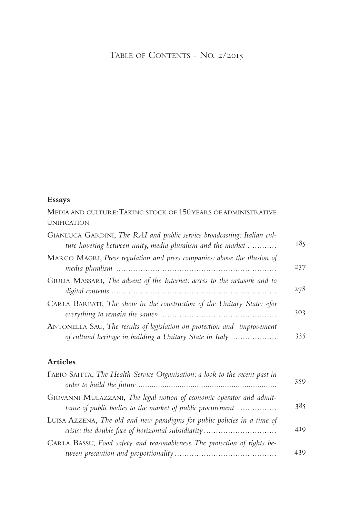## TABLE OF CONTENTS - NO. 2/2015

## **Essays**

MEDIA AND CULTURE: TAKING STOCK OF 150 YEARS OF ADMINISTRATIVE UNIFICATION

| GIANLUCA GARDINI, The RAI and public service broadcasting: Italian cul-<br>ture hovering between unity, media pluralism and the market | 185 |
|----------------------------------------------------------------------------------------------------------------------------------------|-----|
| MARCO MAGRI, Press regulation and press companies: above the illusion of                                                               | 237 |
| GIULIA MASSARI, The advent of the Internet: access to the network and to                                                               | 278 |
| CARLA BARBATI, The show in the construction of the Unitary State: «for                                                                 | 303 |
| ANTONELLA SAU, The results of legislation on protection and improvement<br>of cultural heritage in building a Unitary State in Italy   | 335 |

## **Articles**

| FABIO SAITTA, The Health Service Organisation: a look to the recent past in                                                        | 359 |
|------------------------------------------------------------------------------------------------------------------------------------|-----|
| GIOVANNI MULAZZANI, The legal notion of economic operator and admit-<br>tance of public bodies to the market of public procurement | 385 |
| LUISA AZZENA, The old and new paradigms for public policies in a time of<br>crisis: the double face of horizontal subsidiarity     | 419 |
| CARLA BASSU, Food safety and reasonableness. The protection of rights be-                                                          | 439 |